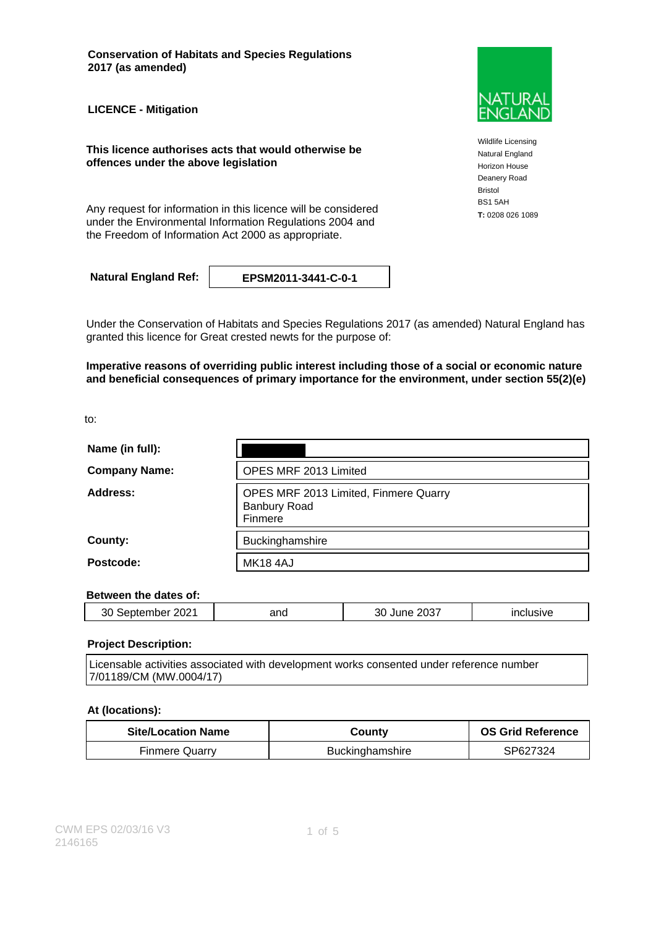**Conservation of Habitats and Species Regulations 2017 (as amended)**

**LICENCE - Mitigation**

**This licence authorises acts that would otherwise be offences under the above legislation**

Any request for information in this licence will be considered **T**: 0208 026 1089 under the Environmental Information Regulations 2004 and the Freedom of Information Act 2000 as appropriate.

**Natural England Ref: EPSM2011-3441-C-0-1**

Under the Conservation of Habitats and Species Regulations 2017 (as amended) Natural England has granted this licence for Great crested newts for the purpose of:

**Imperative reasons of overriding public interest including those of a social or economic nature and beneficial consequences of primary importance for the environment, under section 55(2)(e)**

to:

| Name (in full):      |                                                                         |
|----------------------|-------------------------------------------------------------------------|
| <b>Company Name:</b> | OPES MRF 2013 Limited                                                   |
| Address:             | OPES MRF 2013 Limited, Finmere Quarry<br><b>Banbury Road</b><br>Finmere |
| County:              | Buckinghamshire                                                         |
| Postcode:            | <b>MK18 4AJ</b>                                                         |

### **Between the dates of:**

| ∍∩ח<br>ZUZ –<br>วเม<br>∼<br>᠁ | and | $000-$<br>JJ)<br>' الا<br>- - | .<br>_____ |
|-------------------------------|-----|-------------------------------|------------|
|                               |     |                               |            |

### **Project Description:**

Licensable activities associated with development works consented under reference number 7/01189/CM (MW.0004/17)

### **At (locations):**

| <b>Site/Location Name</b> | Countv                 | <b>OS Grid Reference</b> |
|---------------------------|------------------------|--------------------------|
| <b>Finmere Quarry</b>     | <b>Buckinghamshire</b> | SP627324                 |



Wildlife Licensing Natural England Horizon House Deanery Road Bristol BS1 5AH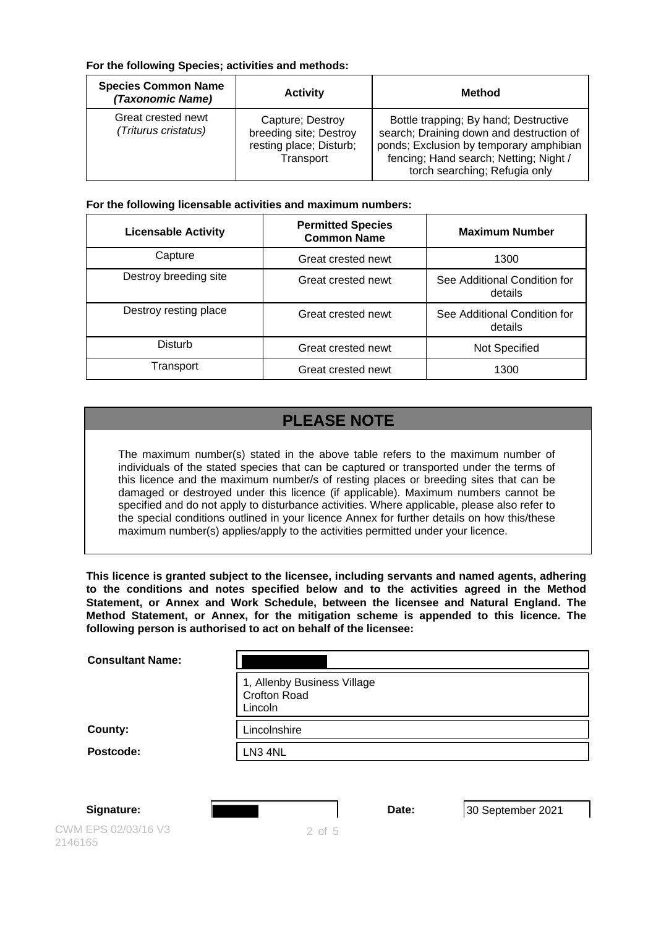### **For the following Species; activities and methods:**

| <b>Species Common Name</b><br>(Taxonomic Name) | <b>Activity</b>                                                                    | <b>Method</b>                                                                                                                                                                                           |
|------------------------------------------------|------------------------------------------------------------------------------------|---------------------------------------------------------------------------------------------------------------------------------------------------------------------------------------------------------|
| Great crested newt<br>(Triturus cristatus)     | Capture; Destroy<br>breeding site; Destroy<br>resting place; Disturb;<br>Transport | Bottle trapping; By hand; Destructive<br>search; Draining down and destruction of<br>ponds; Exclusion by temporary amphibian<br>fencing; Hand search; Netting; Night /<br>torch searching; Refugia only |

### **For the following licensable activities and maximum numbers:**

| <b>Licensable Activity</b> | <b>Permitted Species</b><br><b>Common Name</b> | <b>Maximum Number</b>                   |
|----------------------------|------------------------------------------------|-----------------------------------------|
| Capture                    | Great crested newt                             | 1300                                    |
| Destroy breeding site      | Great crested newt                             | See Additional Condition for<br>details |
| Destroy resting place      | Great crested newt                             | See Additional Condition for<br>details |
| Disturb                    | Great crested newt                             | Not Specified                           |
| Transport                  | Great crested newt                             | 1300                                    |

# **PLEASE NOTE**

The maximum number(s) stated in the above table refers to the maximum number of individuals of the stated species that can be captured or transported under the terms of this licence and the maximum number/s of resting places or breeding sites that can be damaged or destroyed under this licence (if applicable). Maximum numbers cannot be specified and do not apply to disturbance activities. Where applicable, please also refer to the special conditions outlined in your licence Annex for further details on how this/these maximum number(s) applies/apply to the activities permitted under your licence.

**This licence is granted subject to the licensee, including servants and named agents, adhering to the conditions and notes specified below and to the activities agreed in the Method Statement, or Annex and Work Schedule, between the licensee and Natural England. The Method Statement, or Annex, for the mitigation scheme is appended to this licence. The following person is authorised to act on behalf of the licensee:**

| <b>Consultant Name:</b> |                                                               |
|-------------------------|---------------------------------------------------------------|
|                         | 1, Allenby Business Village<br><b>Crofton Road</b><br>Lincoln |
| County:                 | Lincolnshire                                                  |
| Postcode:               | LN3 4NL                                                       |
|                         |                                                               |
|                         |                                                               |

CWM EPS 02/03/16 V3 2146165

**Signature: Date: Date:** 30 September 2021

2 of 5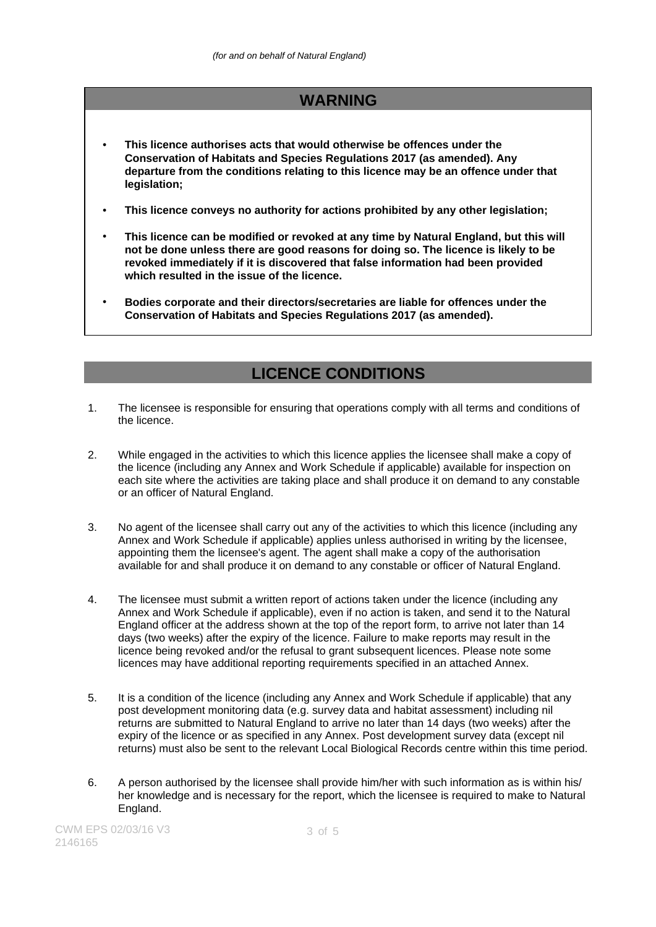### **WARNING**

- **This licence authorises acts that would otherwise be offences under the Conservation of Habitats and Species Regulations 2017 (as amended). Any departure from the conditions relating to this licence may be an offence under that legislation;**
- **This licence conveys no authority for actions prohibited by any other legislation;**
- **This licence can be modified or revoked at any time by Natural England, but this will not be done unless there are good reasons for doing so. The licence is likely to be revoked immediately if it is discovered that false information had been provided which resulted in the issue of the licence.**
- **Bodies corporate and their directors/secretaries are liable for offences under the Conservation of Habitats and Species Regulations 2017 (as amended).**

## **LICENCE CONDITIONS**

- 1. The licensee is responsible for ensuring that operations comply with all terms and conditions of the licence.
- 2. While engaged in the activities to which this licence applies the licensee shall make a copy of the licence (including any Annex and Work Schedule if applicable) available for inspection on each site where the activities are taking place and shall produce it on demand to any constable or an officer of Natural England.
- 3. No agent of the licensee shall carry out any of the activities to which this licence (including any Annex and Work Schedule if applicable) applies unless authorised in writing by the licensee, appointing them the licensee's agent. The agent shall make a copy of the authorisation available for and shall produce it on demand to any constable or officer of Natural England.
- 4. The licensee must submit a written report of actions taken under the licence (including any Annex and Work Schedule if applicable), even if no action is taken, and send it to the Natural England officer at the address shown at the top of the report form, to arrive not later than 14 days (two weeks) after the expiry of the licence. Failure to make reports may result in the licence being revoked and/or the refusal to grant subsequent licences. Please note some licences may have additional reporting requirements specified in an attached Annex.
- 5. It is a condition of the licence (including any Annex and Work Schedule if applicable) that any post development monitoring data (e.g. survey data and habitat assessment) including nil returns are submitted to Natural England to arrive no later than 14 days (two weeks) after the expiry of the licence or as specified in any Annex. Post development survey data (except nil returns) must also be sent to the relevant Local Biological Records centre within this time period.
- 6. A person authorised by the licensee shall provide him/her with such information as is within his/ her knowledge and is necessary for the report, which the licensee is required to make to Natural England.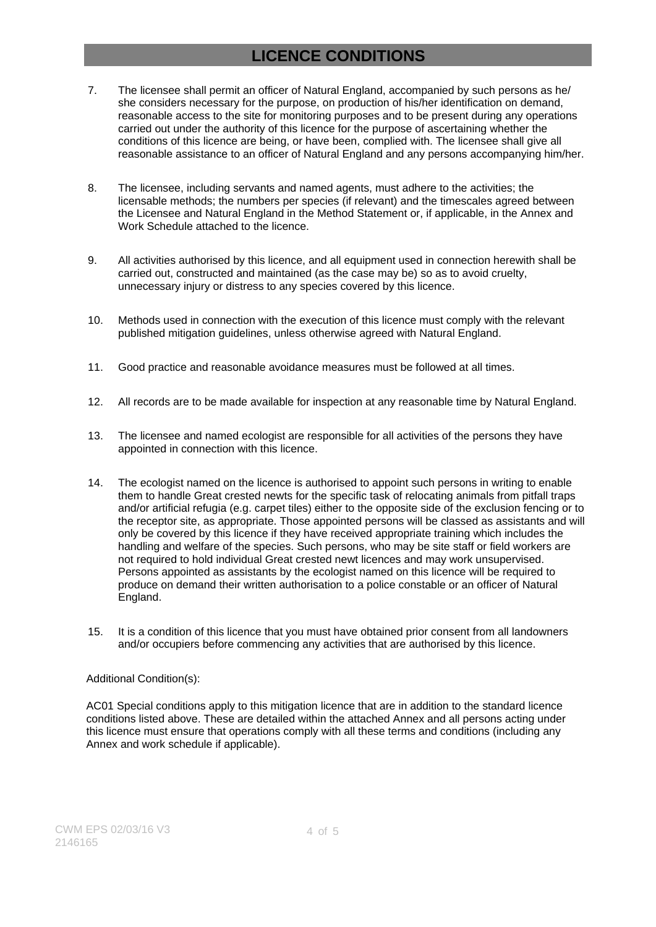# **LICENCE CONDITIONS**

- 7. The licensee shall permit an officer of Natural England, accompanied by such persons as he/ she considers necessary for the purpose, on production of his/her identification on demand, reasonable access to the site for monitoring purposes and to be present during any operations carried out under the authority of this licence for the purpose of ascertaining whether the conditions of this licence are being, or have been, complied with. The licensee shall give all reasonable assistance to an officer of Natural England and any persons accompanying him/her.
- 8. The licensee, including servants and named agents, must adhere to the activities; the licensable methods; the numbers per species (if relevant) and the timescales agreed between the Licensee and Natural England in the Method Statement or, if applicable, in the Annex and Work Schedule attached to the licence.
- 9. All activities authorised by this licence, and all equipment used in connection herewith shall be carried out, constructed and maintained (as the case may be) so as to avoid cruelty, unnecessary injury or distress to any species covered by this licence.
- 10. Methods used in connection with the execution of this licence must comply with the relevant published mitigation guidelines, unless otherwise agreed with Natural England.
- 11. Good practice and reasonable avoidance measures must be followed at all times.
- 12. All records are to be made available for inspection at any reasonable time by Natural England.
- 13. The licensee and named ecologist are responsible for all activities of the persons they have appointed in connection with this licence.
- 14. The ecologist named on the licence is authorised to appoint such persons in writing to enable them to handle Great crested newts for the specific task of relocating animals from pitfall traps and/or artificial refugia (e.g. carpet tiles) either to the opposite side of the exclusion fencing or to the receptor site, as appropriate. Those appointed persons will be classed as assistants and will only be covered by this licence if they have received appropriate training which includes the handling and welfare of the species. Such persons, who may be site staff or field workers are not required to hold individual Great crested newt licences and may work unsupervised. Persons appointed as assistants by the ecologist named on this licence will be required to produce on demand their written authorisation to a police constable or an officer of Natural England.
- 15. It is a condition of this licence that you must have obtained prior consent from all landowners and/or occupiers before commencing any activities that are authorised by this licence.

### Additional Condition(s):

AC01 Special conditions apply to this mitigation licence that are in addition to the standard licence conditions listed above. These are detailed within the attached Annex and all persons acting under this licence must ensure that operations comply with all these terms and conditions (including any Annex and work schedule if applicable).